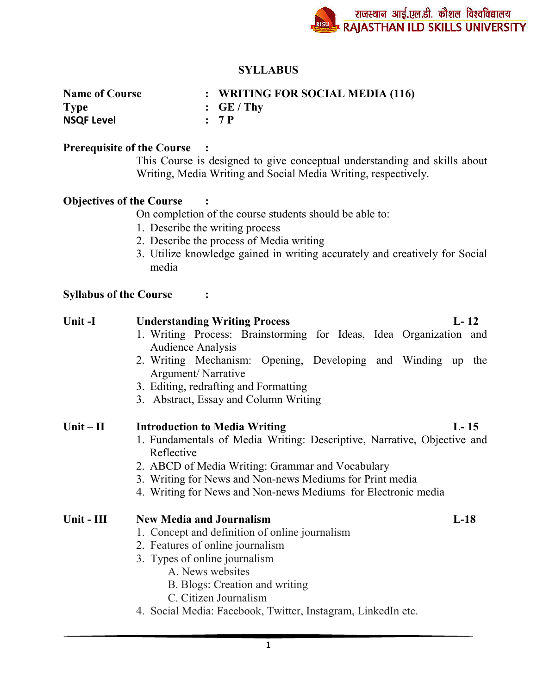## **SYLLABUS**

| <b>Name of Course</b> | : WRITING FOR SOCIAL MEDIA (116) |
|-----------------------|----------------------------------|
| <b>Type</b>           | $\cdot$ GE/Thy                   |
| <b>NSQF Level</b>     | : 7P                             |

### **Prerequisite of the Course :**

This Course is designed to give conceptual understanding and skills about Writing, Media Writing and Social Media Writing, respectively.

## **Objectives of the Course :**

On completion of the course students should be able to:

- 1. Describe the writing process
- 2. Describe the process of Media writing
- 3. Utilize knowledge gained in writing accurately and creatively for Social media

### **Syllabus of the Course :**

| Unit-I      | $L-12$<br><b>Understanding Writing Process</b>                                                                                                                                                                                                                                                                           |  |  |  |  |  |  |
|-------------|--------------------------------------------------------------------------------------------------------------------------------------------------------------------------------------------------------------------------------------------------------------------------------------------------------------------------|--|--|--|--|--|--|
|             | 1. Writing Process: Brainstorming for Ideas, Idea Organization and<br><b>Audience Analysis</b>                                                                                                                                                                                                                           |  |  |  |  |  |  |
|             | 2. Writing Mechanism: Opening, Developing and Winding up<br>the<br>Argument/Narrative                                                                                                                                                                                                                                    |  |  |  |  |  |  |
|             | 3. Editing, redrafting and Formatting<br>3. Abstract, Essay and Column Writing                                                                                                                                                                                                                                           |  |  |  |  |  |  |
| $Unit - II$ | $L-15$<br><b>Introduction to Media Writing</b><br>1. Fundamentals of Media Writing: Descriptive, Narrative, Objective and<br>Reflective<br>2. ABCD of Media Writing: Grammar and Vocabulary<br>3. Writing for News and Non-news Mediums for Print media<br>4. Writing for News and Non-news Mediums for Electronic media |  |  |  |  |  |  |
| Unit - III  | <b>New Media and Journalism</b><br>$L-18$<br>1. Concept and definition of online journalism<br>2. Features of online journalism<br>3. Types of online journalism<br>A. News websites<br>B. Blogs: Creation and writing<br>C. Citizen Journalism<br>4. Social Media: Facebook, Twitter, Instagram, LinkedIn etc.          |  |  |  |  |  |  |